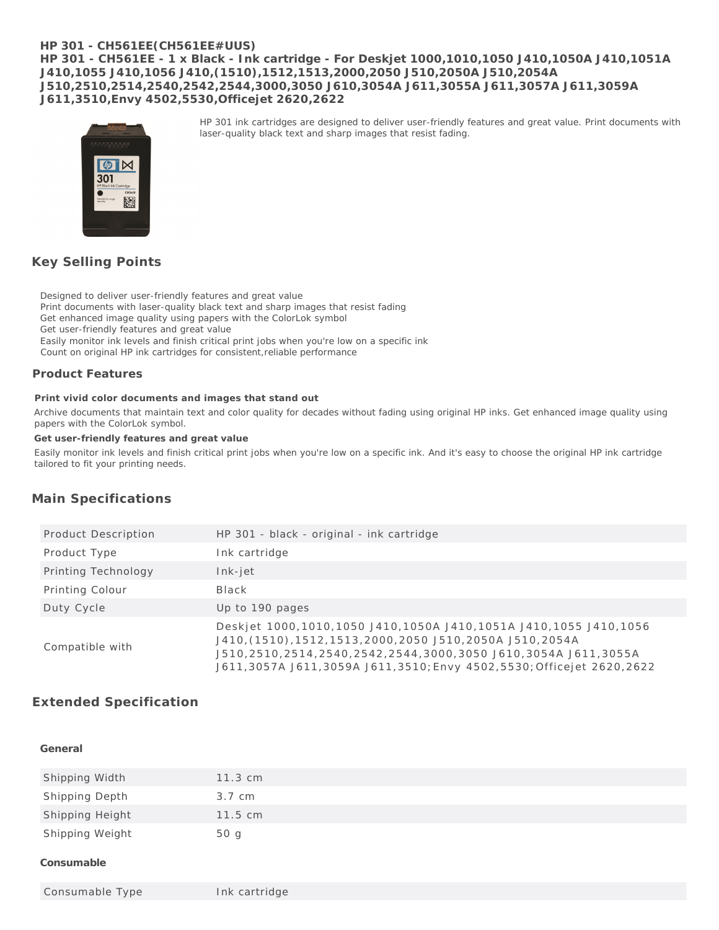### **HP 301 - CH561EE(CH561EE#UUS) HP 301 - CH561EE - 1 x Black - Ink cartridge - For Deskjet 1000,1010,1050 J410,1050A J410,1051A J410,1055 J410,1056 J410,(1510),1512,1513,2000,2050 J510,2050A J510,2054A J510,2510,2514,2540,2542,2544,3000,3050 J610,3054A J611,3055A J611,3057A J611,3059A J611,3510,Envy 4502,5530,Officejet 2620,2622**

laser-quality black text and sharp images that resist fading.

HP 301 ink cartridges are designed to deliver user-friendly features and great value. Print documents with



**Key Selling Points**

Designed to deliver user-friendly features and great value

Print documents with laser-quality black text and sharp images that resist fading

Get enhanced image quality using papers with the ColorLok symbol

Get user-friendly features and great value

Easily monitor ink levels and finish critical print jobs when you're low on a specific ink

Count on original HP ink cartridges for consistent,reliable performance

### **Product Features**

**Print vivid color documents and images that stand out**

Archive documents that maintain text and color quality for decades without fading using original HP inks. Get enhanced image quality using papers with the ColorLok symbol.

**Get user-friendly features and great value**

Easily monitor ink levels and finish critical print jobs when you're low on a specific ink. And it's easy to choose the original HP ink cartridge tailored to fit your printing needs.

## **Main Specifications**

| Product Description | HP 301 - black - original - ink cartridge                                                                                                                                                                                                                                            |
|---------------------|--------------------------------------------------------------------------------------------------------------------------------------------------------------------------------------------------------------------------------------------------------------------------------------|
| Product Type        | Ink cartridge                                                                                                                                                                                                                                                                        |
| Printing Technology | Ink-jet                                                                                                                                                                                                                                                                              |
| Printing Colour     | Black                                                                                                                                                                                                                                                                                |
| Duty Cycle          | Up to 190 pages                                                                                                                                                                                                                                                                      |
| Compatible with     | Deskjet 1000, 1010, 1050 J410, 1050A J410, 1051A J410, 1055 J410, 1056<br>J410, (1510), 1512, 1513, 2000, 2050 J510, 2050A J510, 2054A<br>J510,2510,2514,2540,2542,2544,3000,3050 J610,3054A J611,3055A<br>J611, 3057A J611, 3059A J611, 3510; Envy 4502, 5530; Officejet 2620, 2622 |

# **Extended Specification**

### **General**

| Shipping Width  | $11.3 \text{ cm}$ |
|-----------------|-------------------|
| Shipping Depth  | 3.7 cm            |
| Shipping Height | $11.5 \text{ cm}$ |
| Shipping Weight | 50 g              |
| .               |                   |

**Consumable**

Consumable Type Ink cartridge